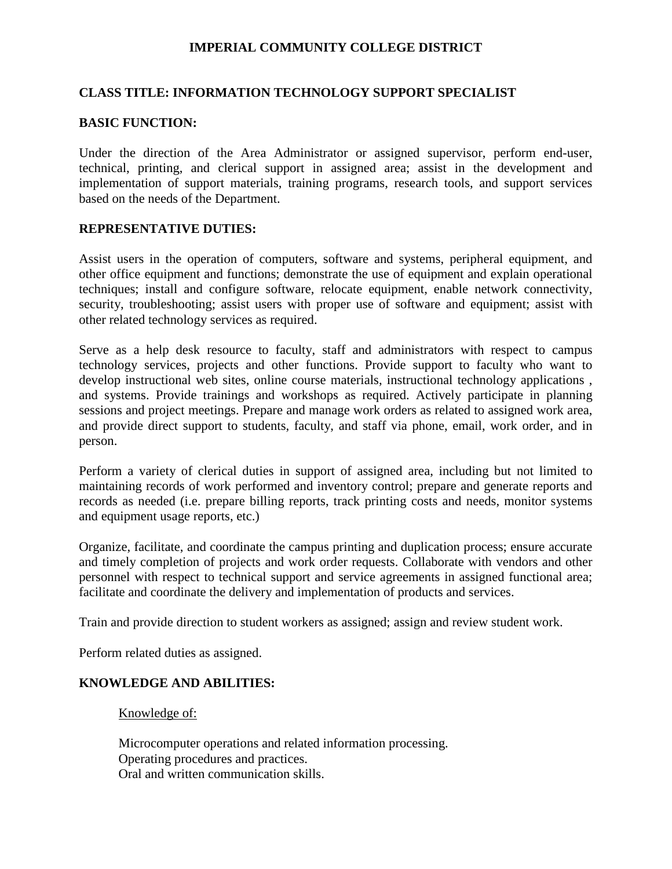# **IMPERIAL COMMUNITY COLLEGE DISTRICT**

## **CLASS TITLE: INFORMATION TECHNOLOGY SUPPORT SPECIALIST**

### **BASIC FUNCTION:**

Under the direction of the Area Administrator or assigned supervisor, perform end-user, technical, printing, and clerical support in assigned area; assist in the development and implementation of support materials, training programs, research tools, and support services based on the needs of the Department.

### **REPRESENTATIVE DUTIES:**

Assist users in the operation of computers, software and systems, peripheral equipment, and other office equipment and functions; demonstrate the use of equipment and explain operational techniques; install and configure software, relocate equipment, enable network connectivity, security, troubleshooting; assist users with proper use of software and equipment; assist with other related technology services as required.

Serve as a help desk resource to faculty, staff and administrators with respect to campus technology services, projects and other functions. Provide support to faculty who want to develop instructional web sites, online course materials, instructional technology applications , and systems. Provide trainings and workshops as required. Actively participate in planning sessions and project meetings. Prepare and manage work orders as related to assigned work area, and provide direct support to students, faculty, and staff via phone, email, work order, and in person.

Perform a variety of clerical duties in support of assigned area, including but not limited to maintaining records of work performed and inventory control; prepare and generate reports and records as needed (i.e. prepare billing reports, track printing costs and needs, monitor systems and equipment usage reports, etc.)

Organize, facilitate, and coordinate the campus printing and duplication process; ensure accurate and timely completion of projects and work order requests. Collaborate with vendors and other personnel with respect to technical support and service agreements in assigned functional area; facilitate and coordinate the delivery and implementation of products and services.

Train and provide direction to student workers as assigned; assign and review student work.

Perform related duties as assigned.

### **KNOWLEDGE AND ABILITIES:**

Knowledge of:

Microcomputer operations and related information processing. Operating procedures and practices. Oral and written communication skills.